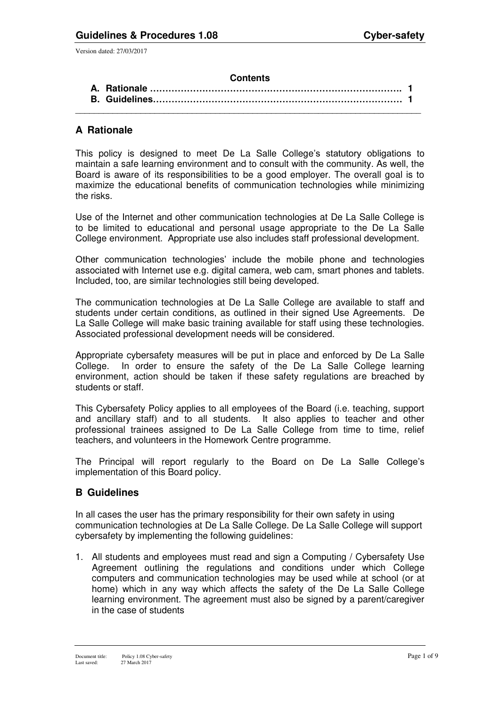#### **Contents**

## **A Rationale**

This policy is designed to meet De La Salle College's statutory obligations to maintain a safe learning environment and to consult with the community. As well, the Board is aware of its responsibilities to be a good employer. The overall goal is to maximize the educational benefits of communication technologies while minimizing the risks.

Use of the Internet and other communication technologies at De La Salle College is to be limited to educational and personal usage appropriate to the De La Salle College environment. Appropriate use also includes staff professional development.

Other communication technologies' include the mobile phone and technologies associated with Internet use e.g. digital camera, web cam, smart phones and tablets. Included, too, are similar technologies still being developed.

The communication technologies at De La Salle College are available to staff and students under certain conditions, as outlined in their signed Use Agreements. De La Salle College will make basic training available for staff using these technologies. Associated professional development needs will be considered.

Appropriate cybersafety measures will be put in place and enforced by De La Salle College. In order to ensure the safety of the De La Salle College learning environment, action should be taken if these safety regulations are breached by students or staff.

This Cybersafety Policy applies to all employees of the Board (i.e. teaching, support and ancillary staff) and to all students. It also applies to teacher and other professional trainees assigned to De La Salle College from time to time, relief teachers, and volunteers in the Homework Centre programme.

The Principal will report regularly to the Board on De La Salle College's implementation of this Board policy.

## **B Guidelines**

In all cases the user has the primary responsibility for their own safety in using communication technologies at De La Salle College. De La Salle College will support cybersafety by implementing the following guidelines:

1. All students and employees must read and sign a Computing / Cybersafety Use Agreement outlining the regulations and conditions under which College computers and communication technologies may be used while at school (or at home) which in any way which affects the safety of the De La Salle College learning environment. The agreement must also be signed by a parent/caregiver in the case of students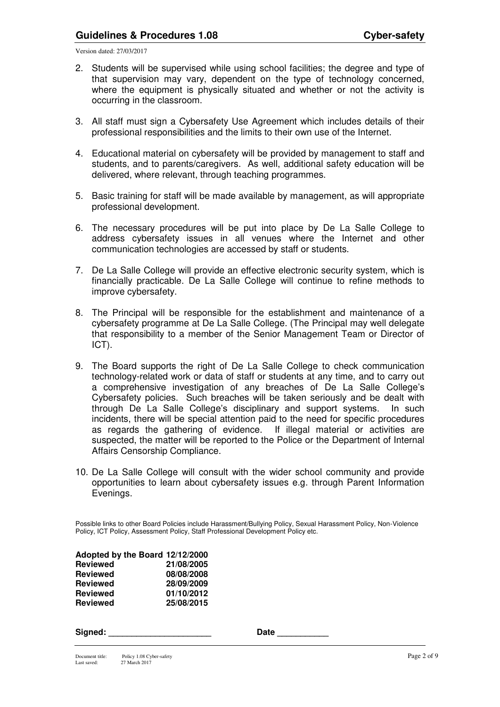- 2. Students will be supervised while using school facilities; the degree and type of that supervision may vary, dependent on the type of technology concerned, where the equipment is physically situated and whether or not the activity is occurring in the classroom.
- 3. All staff must sign a Cybersafety Use Agreement which includes details of their professional responsibilities and the limits to their own use of the Internet.
- 4. Educational material on cybersafety will be provided by management to staff and students, and to parents/caregivers. As well, additional safety education will be delivered, where relevant, through teaching programmes.
- 5. Basic training for staff will be made available by management, as will appropriate professional development.
- 6. The necessary procedures will be put into place by De La Salle College to address cybersafety issues in all venues where the Internet and other communication technologies are accessed by staff or students.
- 7. De La Salle College will provide an effective electronic security system, which is financially practicable. De La Salle College will continue to refine methods to improve cybersafety.
- 8. The Principal will be responsible for the establishment and maintenance of a cybersafety programme at De La Salle College. (The Principal may well delegate that responsibility to a member of the Senior Management Team or Director of ICT).
- 9. The Board supports the right of De La Salle College to check communication technology-related work or data of staff or students at any time, and to carry out a comprehensive investigation of any breaches of De La Salle College's Cybersafety policies. Such breaches will be taken seriously and be dealt with through De La Salle College's disciplinary and support systems. In such incidents, there will be special attention paid to the need for specific procedures as regards the gathering of evidence. If illegal material or activities are suspected, the matter will be reported to the Police or the Department of Internal Affairs Censorship Compliance.
- 10. De La Salle College will consult with the wider school community and provide opportunities to learn about cybersafety issues e.g. through Parent Information Evenings.

Possible links to other Board Policies include Harassment/Bullying Policy, Sexual Harassment Policy, Non-Violence Policy, ICT Policy, Assessment Policy, Staff Professional Development Policy etc.

| Adopted by the Board 12/12/2000 |            |
|---------------------------------|------------|
| <b>Reviewed</b>                 | 21/08/2005 |
| <b>Reviewed</b>                 | 08/08/2008 |
| <b>Reviewed</b>                 | 28/09/2009 |
| <b>Reviewed</b>                 | 01/10/2012 |
| <b>Reviewed</b>                 | 25/08/2015 |

| sianea |  |  |  |
|--------|--|--|--|
|        |  |  |  |

**Signed: \_\_\_\_\_\_\_\_\_\_\_\_\_\_\_\_\_\_\_\_\_\_ Date \_\_\_\_\_\_\_\_\_\_\_**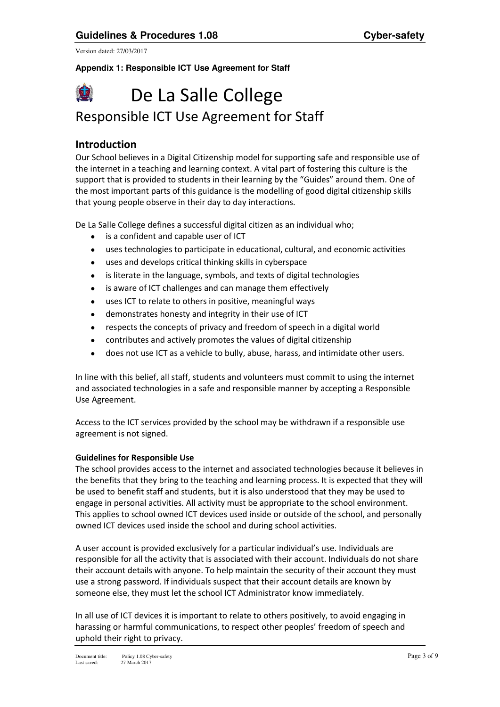#### **Appendix 1: Responsible ICT Use Agreement for Staff**



# Responsible ICT Use Agreement for Staff

## **Introduction**

Our School believes in a Digital Citizenship model for supporting safe and responsible use of the internet in a teaching and learning context. A vital part of fostering this culture is the support that is provided to students in their learning by the "Guides" around them. One of the most important parts of this guidance is the modelling of good digital citizenship skills that young people observe in their day to day interactions.

De La Salle College defines a successful digital citizen as an individual who;

- is a confident and capable user of ICT
- uses technologies to participate in educational, cultural, and economic activities
- uses and develops critical thinking skills in cyberspace
- is literate in the language, symbols, and texts of digital technologies
- is aware of ICT challenges and can manage them effectively
- uses ICT to relate to others in positive, meaningful ways
- demonstrates honesty and integrity in their use of ICT
- respects the concepts of privacy and freedom of speech in a digital world
- contributes and actively promotes the values of digital citizenship
- does not use ICT as a vehicle to bully, abuse, harass, and intimidate other users.

In line with this belief, all staff, students and volunteers must commit to using the internet and associated technologies in a safe and responsible manner by accepting a Responsible Use Agreement.

Access to the ICT services provided by the school may be withdrawn if a responsible use agreement is not signed.

#### **Guidelines for Responsible Use**

The school provides access to the internet and associated technologies because it believes in the benefits that they bring to the teaching and learning process. It is expected that they will be used to benefit staff and students, but it is also understood that they may be used to engage in personal activities. All activity must be appropriate to the school environment. This applies to school owned ICT devices used inside or outside of the school, and personally owned ICT devices used inside the school and during school activities.

A user account is provided exclusively for a particular individual's use. Individuals are responsible for all the activity that is associated with their account. Individuals do not share their account details with anyone. To help maintain the security of their account they must use a strong password. If individuals suspect that their account details are known by someone else, they must let the school ICT Administrator know immediately.

In all use of ICT devices it is important to relate to others positively, to avoid engaging in harassing or harmful communications, to respect other peoples' freedom of speech and uphold their right to privacy.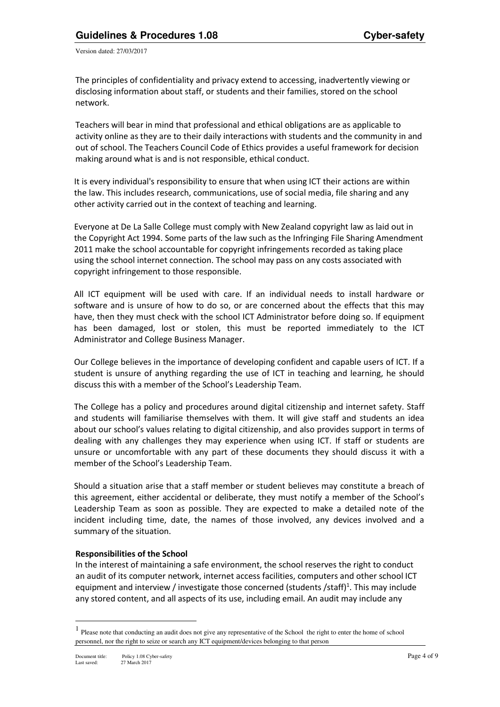The principles of confidentiality and privacy extend to accessing, inadvertently viewing or disclosing information about staff, or students and their families, stored on the school network.

Teachers will bear in mind that professional and ethical obligations are as applicable to activity online as they are to their daily interactions with students and the community in and out of school. The Teachers Council Code of Ethics provides a useful framework for decision making around what is and is not responsible, ethical conduct.

It is every individual's responsibility to ensure that when using ICT their actions are within the law. This includes research, communications, use of social media, file sharing and any other activity carried out in the context of teaching and learning.

Everyone at De La Salle College must comply with New Zealand copyright law as laid out in the Copyright Act 1994. Some parts of the law such as the Infringing File Sharing Amendment 2011 make the school accountable for copyright infringements recorded as taking place using the school internet connection. The school may pass on any costs associated with copyright infringement to those responsible.

All ICT equipment will be used with care. If an individual needs to install hardware or software and is unsure of how to do so, or are concerned about the effects that this may have, then they must check with the school ICT Administrator before doing so. If equipment has been damaged, lost or stolen, this must be reported immediately to the ICT Administrator and College Business Manager.

Our College believes in the importance of developing confident and capable users of ICT. If a student is unsure of anything regarding the use of ICT in teaching and learning, he should discuss this with a member of the School's Leadership Team.

The College has a policy and procedures around digital citizenship and internet safety. Staff and students will familiarise themselves with them. It will give staff and students an idea about our school's values relating to digital citizenship, and also provides support in terms of dealing with any challenges they may experience when using ICT. If staff or students are unsure or uncomfortable with any part of these documents they should discuss it with a member of the School's Leadership Team.

Should a situation arise that a staff member or student believes may constitute a breach of this agreement, either accidental or deliberate, they must notify a member of the School's Leadership Team as soon as possible. They are expected to make a detailed note of the incident including time, date, the names of those involved, any devices involved and a summary of the situation.

#### **Responsibilities of the School**

In the interest of maintaining a safe environment, the school reserves the right to conduct an audit of its computer network, internet access facilities, computers and other school ICT equipment and interview / investigate those concerned (students /staff)<sup>1</sup>. This may include any stored content, and all aspects of its use, including email. An audit may include any

 $\overline{a}$ 

<sup>&</sup>lt;sup>1</sup> Please note that conducting an audit does not give any representative of the School the right to enter the home of school personnel, nor the right to seize or search any ICT equipment/devices belonging to that person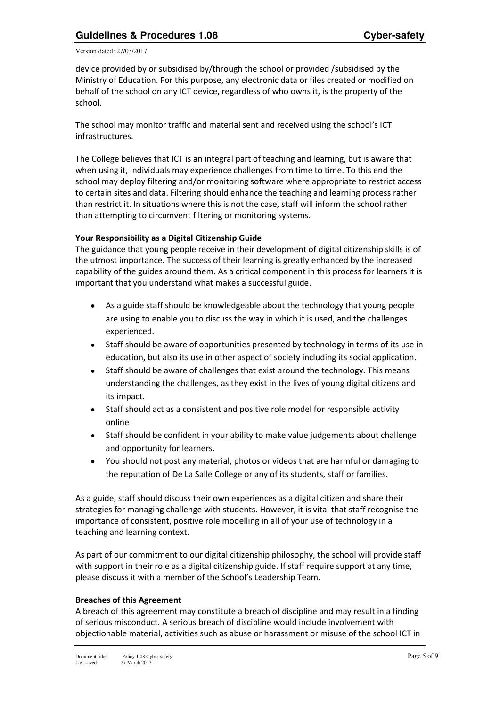device provided by or subsidised by/through the school or provided /subsidised by the Ministry of Education. For this purpose, any electronic data or files created or modified on behalf of the school on any ICT device, regardless of who owns it, is the property of the school.

The school may monitor traffic and material sent and received using the school's ICT infrastructures.

The College believes that ICT is an integral part of teaching and learning, but is aware that when using it, individuals may experience challenges from time to time. To this end the school may deploy filtering and/or monitoring software where appropriate to restrict access to certain sites and data. Filtering should enhance the teaching and learning process rather than restrict it. In situations where this is not the case, staff will inform the school rather than attempting to circumvent filtering or monitoring systems.

#### **Your Responsibility as a Digital Citizenship Guide**

The guidance that young people receive in their development of digital citizenship skills is of the utmost importance. The success of their learning is greatly enhanced by the increased capability of the guides around them. As a critical component in this process for learners it is important that you understand what makes a successful guide.

- As a guide staff should be knowledgeable about the technology that young people are using to enable you to discuss the way in which it is used, and the challenges experienced.
- Staff should be aware of opportunities presented by technology in terms of its use in education, but also its use in other aspect of society including its social application.
- Staff should be aware of challenges that exist around the technology. This means understanding the challenges, as they exist in the lives of young digital citizens and its impact.
- Staff should act as a consistent and positive role model for responsible activity online
- Staff should be confident in your ability to make value judgements about challenge and opportunity for learners.
- You should not post any material, photos or videos that are harmful or damaging to the reputation of De La Salle College or any of its students, staff or families.

As a guide, staff should discuss their own experiences as a digital citizen and share their strategies for managing challenge with students. However, it is vital that staff recognise the importance of consistent, positive role modelling in all of your use of technology in a teaching and learning context.

As part of our commitment to our digital citizenship philosophy, the school will provide staff with support in their role as a digital citizenship guide. If staff require support at any time, please discuss it with a member of the School's Leadership Team.

#### **Breaches of this Agreement**

A breach of this agreement may constitute a breach of discipline and may result in a finding of serious misconduct. A serious breach of discipline would include involvement with objectionable material, activities such as abuse or harassment or misuse of the school ICT in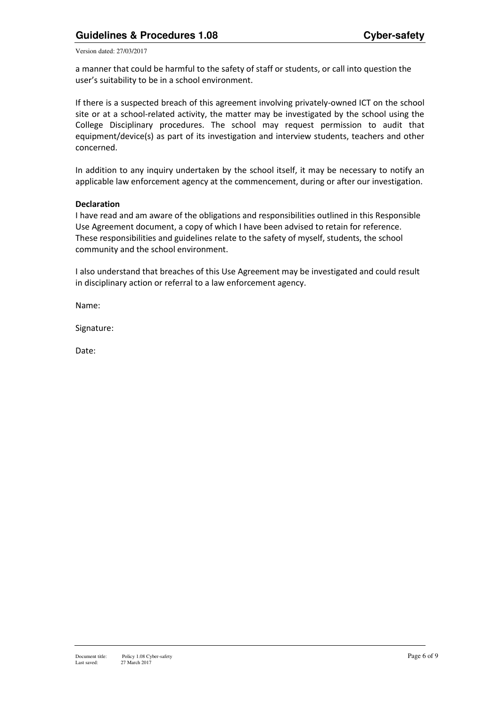a manner that could be harmful to the safety of staff or students, or call into question the user's suitability to be in a school environment.

If there is a suspected breach of this agreement involving privately-owned ICT on the school site or at a school-related activity, the matter may be investigated by the school using the College Disciplinary procedures. The school may request permission to audit that equipment/device(s) as part of its investigation and interview students, teachers and other concerned.

In addition to any inquiry undertaken by the school itself, it may be necessary to notify an applicable law enforcement agency at the commencement, during or after our investigation.

#### **Declaration**

I have read and am aware of the obligations and responsibilities outlined in this Responsible Use Agreement document, a copy of which I have been advised to retain for reference. These responsibilities and guidelines relate to the safety of myself, students, the school community and the school environment.

I also understand that breaches of this Use Agreement may be investigated and could result in disciplinary action or referral to a law enforcement agency.

Name:

Signature:

Date: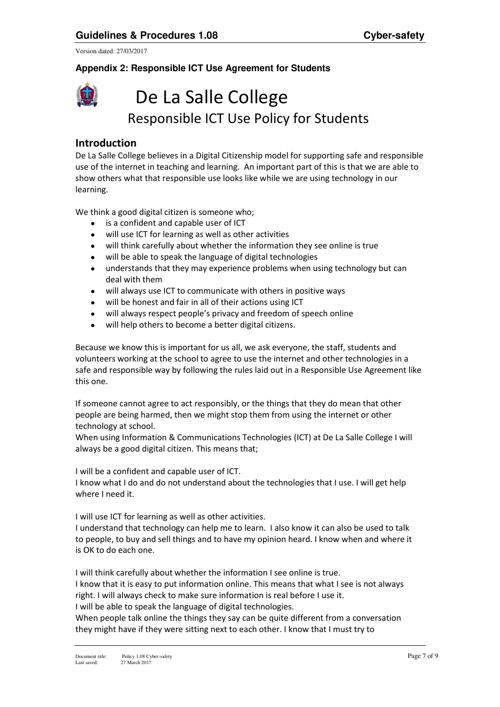# **Appendix 2: Responsible ICT Use Agreement for Students**



# De La Salle College Responsible ICT Use Policy for Students

# **Introduction**

De La Salle College believes in a Digital Citizenship model for supporting safe and responsible use of the internet in teaching and learning. An important part of this is that we are able to show others what that responsible use looks like while we are using technology in our learning.

We think a good digital citizen is someone who;

- is a confident and capable user of ICT
- will use ICT for learning as well as other activities
- will think carefully about whether the information they see online is true
- will be able to speak the language of digital technologies
- understands that they may experience problems when using technology but can deal with them
- will always use ICT to communicate with others in positive ways
- will be honest and fair in all of their actions using ICT
- will always respect people's privacy and freedom of speech online
- will help others to become a better digital citizens.

Because we know this is important for us all, we ask everyone, the staff, students and volunteers working at the school to agree to use the internet and other technologies in a safe and responsible way by following the rules laid out in a Responsible Use Agreement like this one.

If someone cannot agree to act responsibly, or the things that they do mean that other people are being harmed, then we might stop them from using the internet or other technology at school.

When using Information & Communications Technologies (ICT) at De La Salle College I will always be a good digital citizen. This means that;

I will be a confident and capable user of ICT.

I know what I do and do not understand about the technologies that I use. I will get help where I need it.

I will use ICT for learning as well as other activities.

I understand that technology can help me to learn. I also know it can also be used to talk to people, to buy and sell things and to have my opinion heard. I know when and where it is OK to do each one.

I will think carefully about whether the information I see online is true.

I know that it is easy to put information online. This means that what I see is not always right. I will always check to make sure information is real before I use it.

I will be able to speak the language of digital technologies.

When people talk online the things they say can be quite different from a conversation they might have if they were sitting next to each other. I know that I must try to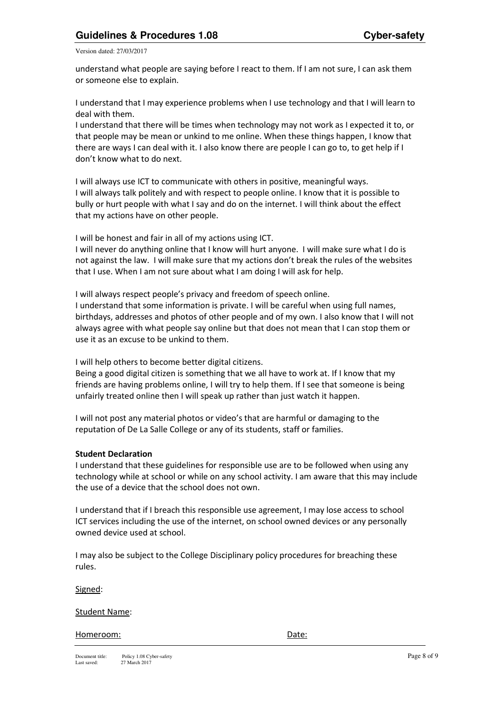understand what people are saying before I react to them. If I am not sure, I can ask them or someone else to explain.

I understand that I may experience problems when I use technology and that I will learn to deal with them.

I understand that there will be times when technology may not work as I expected it to, or that people may be mean or unkind to me online. When these things happen, I know that there are ways I can deal with it. I also know there are people I can go to, to get help if I don't know what to do next.

I will always use ICT to communicate with others in positive, meaningful ways. I will always talk politely and with respect to people online. I know that it is possible to bully or hurt people with what I say and do on the internet. I will think about the effect that my actions have on other people.

I will be honest and fair in all of my actions using ICT.

I will never do anything online that I know will hurt anyone. I will make sure what I do is not against the law. I will make sure that my actions don't break the rules of the websites that I use. When I am not sure about what I am doing I will ask for help.

I will always respect people's privacy and freedom of speech online. I understand that some information is private. I will be careful when using full names, birthdays, addresses and photos of other people and of my own. I also know that I will not always agree with what people say online but that does not mean that I can stop them or use it as an excuse to be unkind to them.

I will help others to become better digital citizens.

Being a good digital citizen is something that we all have to work at. If I know that my friends are having problems online, I will try to help them. If I see that someone is being unfairly treated online then I will speak up rather than just watch it happen.

I will not post any material photos or video's that are harmful or damaging to the reputation of De La Salle College or any of its students, staff or families.

#### **Student Declaration**

I understand that these guidelines for responsible use are to be followed when using any technology while at school or while on any school activity. I am aware that this may include the use of a device that the school does not own.

I understand that if I breach this responsible use agreement, I may lose access to school ICT services including the use of the internet, on school owned devices or any personally owned device used at school.

I may also be subject to the College Disciplinary policy procedures for breaching these rules.

Signed:

#### Student Name:

#### Homeroom: Date: